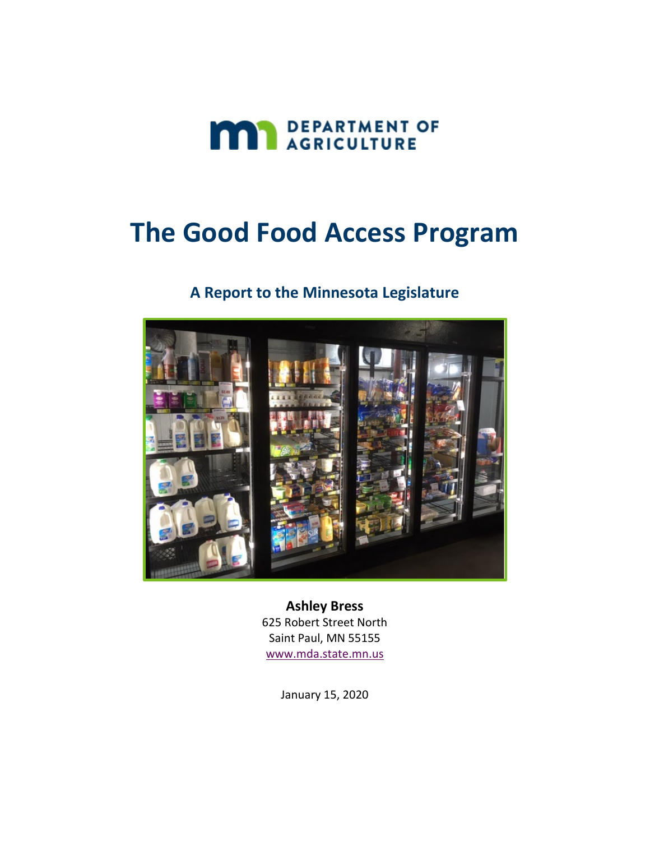

# **The Good Food Access Program**

### **A Report to the Minnesota Legislature**



**Ashley Bress** 625 Robert Street North Saint Paul, MN 55155 [www.mda.state.mn.us](http://www.mda.state.mn.us/)

January 15, 2020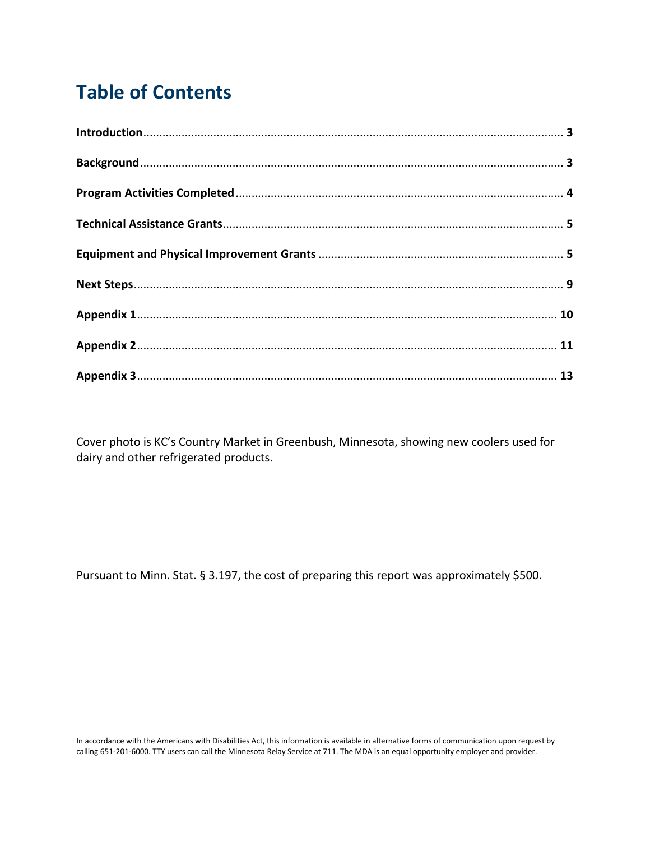# **Table of Contents**

Cover photo is KC's Country Market in Greenbush, Minnesota, showing new coolers used for dairy and other refrigerated products.

Pursuant to Minn. Stat. § 3.197, the cost of preparing this report was approximately \$500.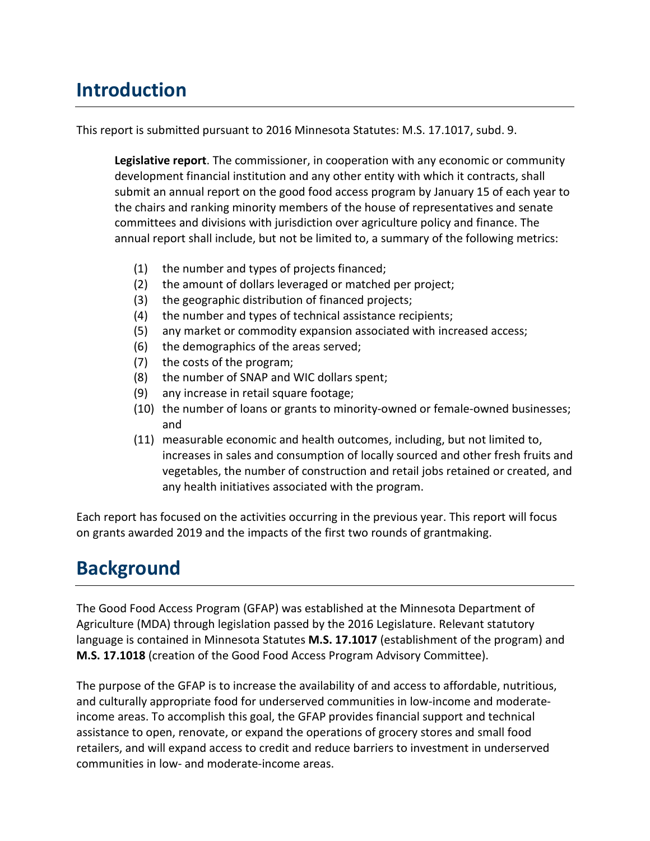# **Introduction**

This report is submitted pursuant to 2016 Minnesota Statutes: M.S. 17.1017, subd. 9.

**Legislative report**. The commissioner, in cooperation with any economic or community development financial institution and any other entity with which it contracts, shall submit an annual report on the good food access program by January 15 of each year to the chairs and ranking minority members of the house of representatives and senate committees and divisions with jurisdiction over agriculture policy and finance. The annual report shall include, but not be limited to, a summary of the following metrics:

- (1) the number and types of projects financed;
- (2) the amount of dollars leveraged or matched per project;
- (3) the geographic distribution of financed projects;
- (4) the number and types of technical assistance recipients;
- (5) any market or commodity expansion associated with increased access;
- (6) the demographics of the areas served;
- (7) the costs of the program;
- (8) the number of SNAP and WIC dollars spent;
- (9) any increase in retail square footage;
- (10) the number of loans or grants to minority-owned or female-owned businesses; and
- (11) measurable economic and health outcomes, including, but not limited to, increases in sales and consumption of locally sourced and other fresh fruits and vegetables, the number of construction and retail jobs retained or created, and any health initiatives associated with the program.

Each report has focused on the activities occurring in the previous year. This report will focus on grants awarded 2019 and the impacts of the first two rounds of grantmaking.

### **Background**

The Good Food Access Program (GFAP) was established at the Minnesota Department of Agriculture (MDA) through legislation passed by the 2016 Legislature. Relevant statutory language is contained in Minnesota Statutes **M.S. 17.1017** (establishment of the program) and **M.S. 17.1018** (creation of the Good Food Access Program Advisory Committee).

The purpose of the GFAP is to increase the availability of and access to affordable, nutritious, and culturally appropriate food for underserved communities in low-income and moderateincome areas. To accomplish this goal, the GFAP provides financial support and technical assistance to open, renovate, or expand the operations of grocery stores and small food retailers, and will expand access to credit and reduce barriers to investment in underserved communities in low- and moderate-income areas.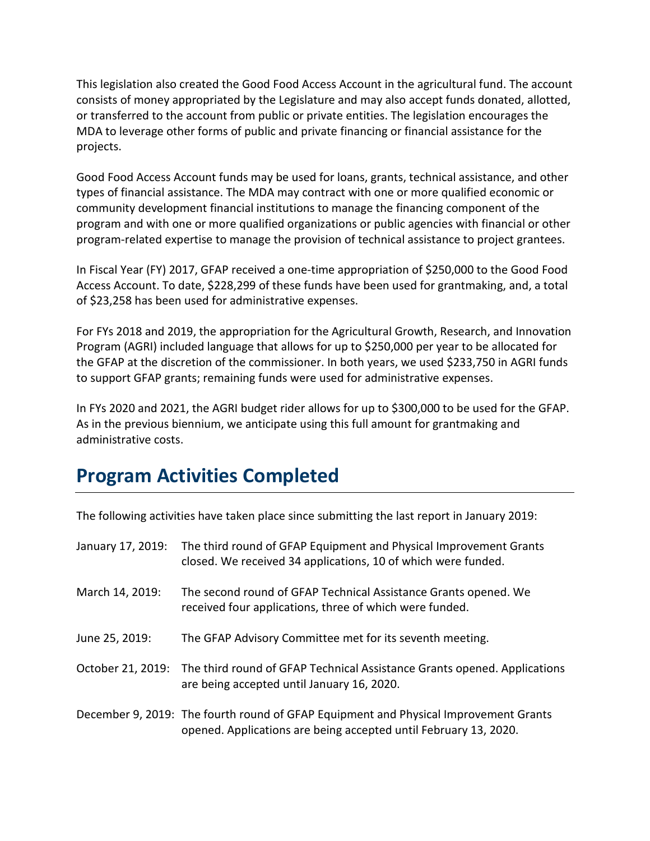This legislation also created the Good Food Access Account in the agricultural fund. The account consists of money appropriated by the Legislature and may also accept funds donated, allotted, or transferred to the account from public or private entities. The legislation encourages the MDA to leverage other forms of public and private financing or financial assistance for the projects.

Good Food Access Account funds may be used for loans, grants, technical assistance, and other types of financial assistance. The MDA may contract with one or more qualified economic or community development financial institutions to manage the financing component of the program and with one or more qualified organizations or public agencies with financial or other program-related expertise to manage the provision of technical assistance to project grantees.

In Fiscal Year (FY) 2017, GFAP received a one-time appropriation of \$250,000 to the Good Food Access Account. To date, \$228,299 of these funds have been used for grantmaking, and, a total of \$23,258 has been used for administrative expenses.

For FYs 2018 and 2019, the appropriation for the Agricultural Growth, Research, and Innovation Program (AGRI) included language that allows for up to \$250,000 per year to be allocated for the GFAP at the discretion of the commissioner. In both years, we used \$233,750 in AGRI funds to support GFAP grants; remaining funds were used for administrative expenses.

In FYs 2020 and 2021, the AGRI budget rider allows for up to \$300,000 to be used for the GFAP. As in the previous biennium, we anticipate using this full amount for grantmaking and administrative costs.

### **Program Activities Completed**

The following activities have taken place since submitting the last report in January 2019:

| January 17, 2019: | The third round of GFAP Equipment and Physical Improvement Grants<br>closed. We received 34 applications, 10 of which were funded.                       |
|-------------------|----------------------------------------------------------------------------------------------------------------------------------------------------------|
| March 14, 2019:   | The second round of GFAP Technical Assistance Grants opened. We<br>received four applications, three of which were funded.                               |
| June 25, 2019:    | The GFAP Advisory Committee met for its seventh meeting.                                                                                                 |
|                   | October 21, 2019: The third round of GFAP Technical Assistance Grants opened. Applications<br>are being accepted until January 16, 2020.                 |
|                   | December 9, 2019: The fourth round of GFAP Equipment and Physical Improvement Grants<br>opened. Applications are being accepted until February 13, 2020. |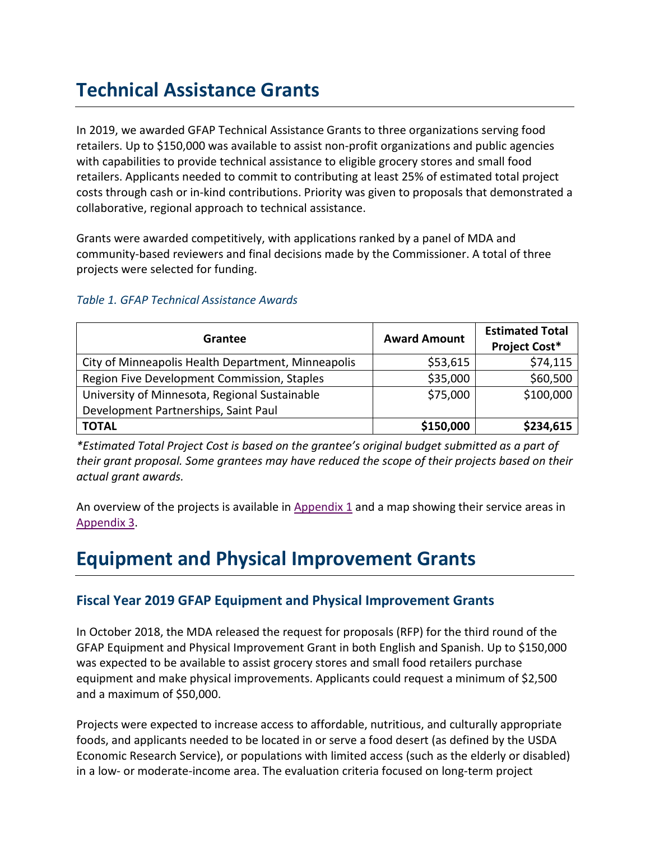# **Technical Assistance Grants**

In 2019, we awarded GFAP Technical Assistance Grants to three organizations serving food retailers. Up to \$150,000 was available to assist non-profit organizations and public agencies with capabilities to provide technical assistance to eligible grocery stores and small food retailers. Applicants needed to commit to contributing at least 25% of estimated total project costs through cash or in-kind contributions. Priority was given to proposals that demonstrated a collaborative, regional approach to technical assistance.

Grants were awarded competitively, with applications ranked by a panel of MDA and community-based reviewers and final decisions made by the Commissioner. A total of three projects were selected for funding.

| Grantee                                            | <b>Award Amount</b> | <b>Estimated Total</b><br><b>Project Cost*</b> |
|----------------------------------------------------|---------------------|------------------------------------------------|
| City of Minneapolis Health Department, Minneapolis | \$53,615            | \$74,115                                       |
| Region Five Development Commission, Staples        | \$35,000            | \$60,500                                       |
| University of Minnesota, Regional Sustainable      | \$75,000            | \$100,000                                      |
| Development Partnerships, Saint Paul               |                     |                                                |
| <b>TOTAL</b>                                       | \$150,000           | \$234,615                                      |

#### *Table 1. GFAP Technical Assistance Awards*

*\*Estimated Total Project Cost is based on the grantee's original budget submitted as a part of their grant proposal. Some grantees may have reduced the scope of their projects based on their actual grant awards.*

An overview of the projects is available in Appendix  $1$  and a map showing their service areas in [Appendix 3.](#page-11-0)

### **Equipment and Physical Improvement Grants**

### **Fiscal Year 2019 GFAP Equipment and Physical Improvement Grants**

In October 2018, the MDA released the request for proposals (RFP) for the third round of the GFAP Equipment and Physical Improvement Grant in both English and Spanish. Up to \$150,000 was expected to be available to assist grocery stores and small food retailers purchase equipment and make physical improvements. Applicants could request a minimum of \$2,500 and a maximum of \$50,000.

Projects were expected to increase access to affordable, nutritious, and culturally appropriate foods, and applicants needed to be located in or serve a food desert (as defined by the USDA Economic Research Service), or populations with limited access (such as the elderly or disabled) in a low- or moderate-income area. The evaluation criteria focused on long-term project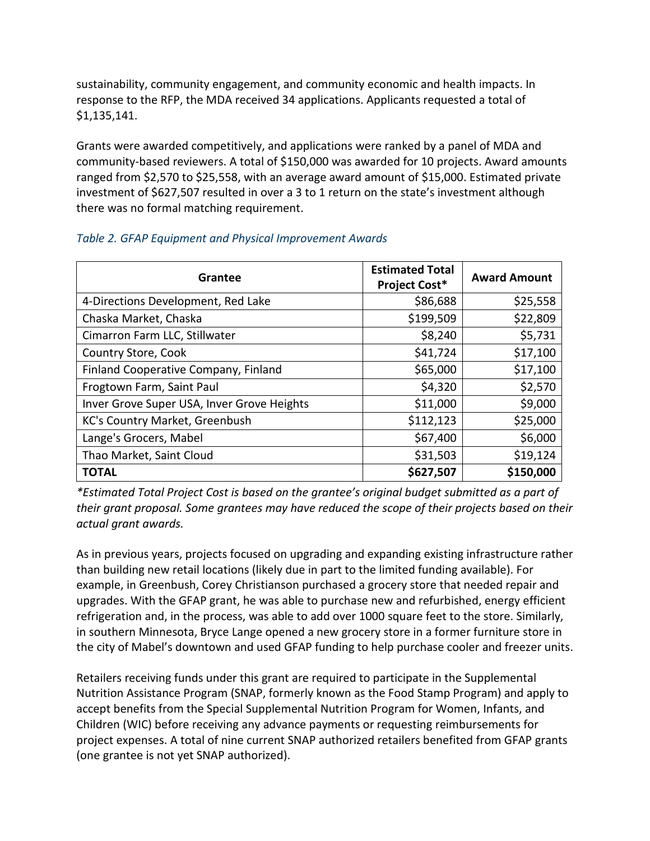sustainability, community engagement, and community economic and health impacts. In response to the RFP, the MDA received 34 applications. Applicants requested a total of \$1,135,141.

Grants were awarded competitively, and applications were ranked by a panel of MDA and community-based reviewers. A total of \$150,000 was awarded for 10 projects. Award amounts ranged from \$2,570 to \$25,558, with an average award amount of \$15,000. Estimated private investment of \$627,507 resulted in over a 3 to 1 return on the state's investment although there was no formal matching requirement.

| Grantee                                    | <b>Estimated Total</b><br><b>Project Cost*</b> | <b>Award Amount</b> |
|--------------------------------------------|------------------------------------------------|---------------------|
| 4-Directions Development, Red Lake         | \$86,688                                       | \$25,558            |
| Chaska Market, Chaska                      | \$199,509                                      | \$22,809            |
| Cimarron Farm LLC, Stillwater              | \$8,240                                        | \$5,731             |
| Country Store, Cook                        | \$41,724                                       | \$17,100            |
| Finland Cooperative Company, Finland       | \$65,000                                       | \$17,100            |
| Frogtown Farm, Saint Paul                  | \$4,320                                        | \$2,570             |
| Inver Grove Super USA, Inver Grove Heights | \$11,000                                       | \$9,000             |
| KC's Country Market, Greenbush             | \$112,123                                      | \$25,000            |
| Lange's Grocers, Mabel                     | \$67,400                                       | \$6,000             |
| Thao Market, Saint Cloud                   | \$31,503                                       | \$19,124            |
| <b>TOTAL</b>                               | \$627,507                                      | \$150,000           |

#### *Table 2. GFAP Equipment and Physical Improvement Awards*

*\*Estimated Total Project Cost is based on the grantee's original budget submitted as a part of their grant proposal. Some grantees may have reduced the scope of their projects based on their actual grant awards.*

As in previous years, projects focused on upgrading and expanding existing infrastructure rather than building new retail locations (likely due in part to the limited funding available). For example, in Greenbush, Corey Christianson purchased a grocery store that needed repair and upgrades. With the GFAP grant, he was able to purchase new and refurbished, energy efficient refrigeration and, in the process, was able to add over 1000 square feet to the store. Similarly, in southern Minnesota, Bryce Lange opened a new grocery store in a former furniture store in the city of Mabel's downtown and used GFAP funding to help purchase cooler and freezer units.

Retailers receiving funds under this grant are required to participate in the Supplemental Nutrition Assistance Program (SNAP, formerly known as the Food Stamp Program) and apply to accept benefits from the Special Supplemental Nutrition Program for Women, Infants, and Children (WIC) before receiving any advance payments or requesting reimbursements for project expenses. A total of nine current SNAP authorized retailers benefited from GFAP grants (one grantee is not yet SNAP authorized).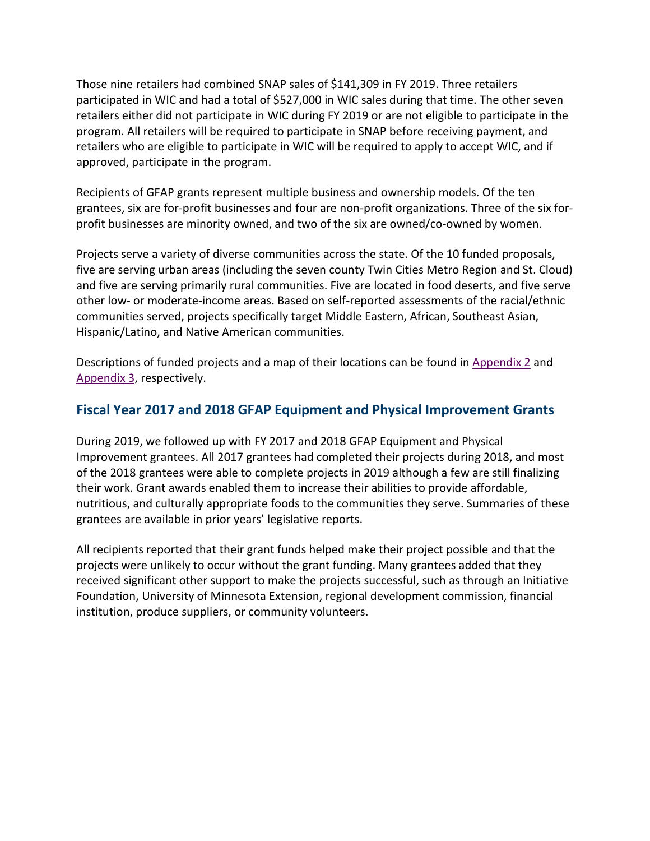Those nine retailers had combined SNAP sales of \$141,309 in FY 2019. Three retailers participated in WIC and had a total of \$527,000 in WIC sales during that time. The other seven retailers either did not participate in WIC during FY 2019 or are not eligible to participate in the program. All retailers will be required to participate in SNAP before receiving payment, and retailers who are eligible to participate in WIC will be required to apply to accept WIC, and if approved, participate in the program.

Recipients of GFAP grants represent multiple business and ownership models. Of the ten grantees, six are for-profit businesses and four are non-profit organizations. Three of the six forprofit businesses are minority owned, and two of the six are owned/co-owned by women.

Projects serve a variety of diverse communities across the state. Of the 10 funded proposals, five are serving urban areas (including the seven county Twin Cities Metro Region and St. Cloud) and five are serving primarily rural communities. Five are located in food deserts, and five serve other low- or moderate-income areas. Based on self-reported assessments of the racial/ethnic communities served, projects specifically target Middle Eastern, African, Southeast Asian, Hispanic/Latino, and Native American communities.

Descriptions of funded projects and a map of their locations can be found in [Appendix 2](#page-9-0) and [Appendix 3,](#page-11-0) respectively.

### **Fiscal Year 2017 and 2018 GFAP Equipment and Physical Improvement Grants**

During 2019, we followed up with FY 2017 and 2018 GFAP Equipment and Physical Improvement grantees. All 2017 grantees had completed their projects during 2018, and most of the 2018 grantees were able to complete projects in 2019 although a few are still finalizing their work. Grant awards enabled them to increase their abilities to provide affordable, nutritious, and culturally appropriate foods to the communities they serve. Summaries of these grantees are available in prior years' legislative reports.

All recipients reported that their grant funds helped make their project possible and that the projects were unlikely to occur without the grant funding. Many grantees added that they received significant other support to make the projects successful, such as through an Initiative Foundation, University of Minnesota Extension, regional development commission, financial institution, produce suppliers, or community volunteers.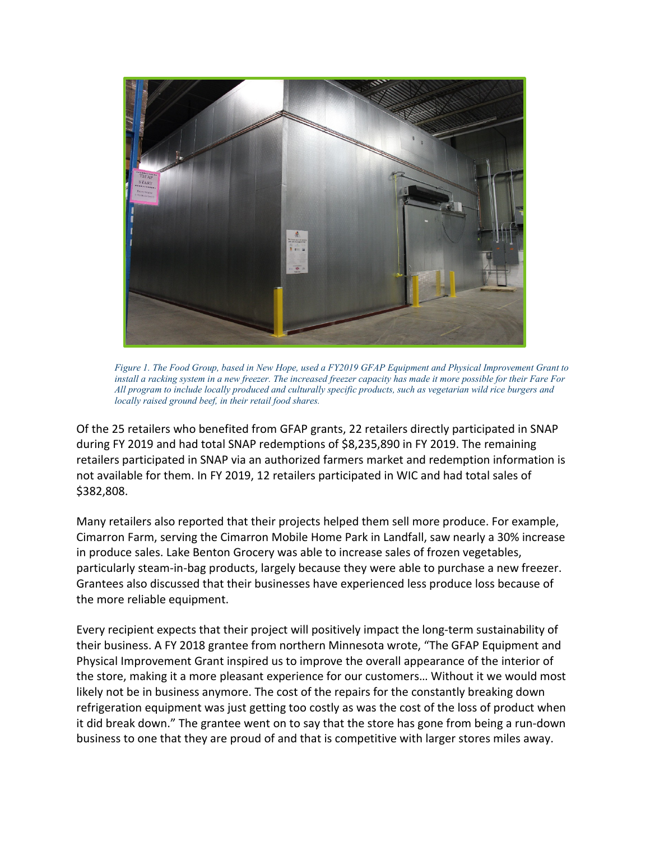

*Figure 1. The Food Group, based in New Hope, used a FY2019 GFAP Equipment and Physical Improvement Grant to install a racking system in a new freezer. The increased freezer capacity has made it more possible for their Fare For All program to include locally produced and culturally specific products, such as vegetarian wild rice burgers and locally raised ground beef, in their retail food shares.*

Of the 25 retailers who benefited from GFAP grants, 22 retailers directly participated in SNAP during FY 2019 and had total SNAP redemptions of \$8,235,890 in FY 2019. The remaining retailers participated in SNAP via an authorized farmers market and redemption information is not available for them. In FY 2019, 12 retailers participated in WIC and had total sales of \$382,808.

Many retailers also reported that their projects helped them sell more produce. For example, Cimarron Farm, serving the Cimarron Mobile Home Park in Landfall, saw nearly a 30% increase in produce sales. Lake Benton Grocery was able to increase sales of frozen vegetables, particularly steam-in-bag products, largely because they were able to purchase a new freezer. Grantees also discussed that their businesses have experienced less produce loss because of the more reliable equipment.

Every recipient expects that their project will positively impact the long-term sustainability of their business. A FY 2018 grantee from northern Minnesota wrote, "The GFAP Equipment and Physical Improvement Grant inspired us to improve the overall appearance of the interior of the store, making it a more pleasant experience for our customers… Without it we would most likely not be in business anymore. The cost of the repairs for the constantly breaking down refrigeration equipment was just getting too costly as was the cost of the loss of product when it did break down." The grantee went on to say that the store has gone from being a run-down business to one that they are proud of and that is competitive with larger stores miles away.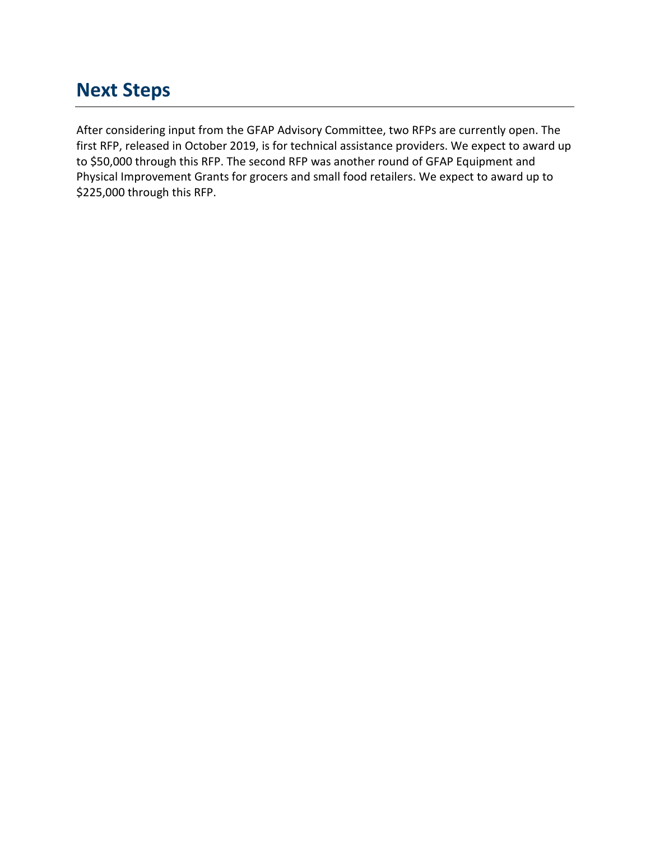### **Next Steps**

<span id="page-8-0"></span>After considering input from the GFAP Advisory Committee, two RFPs are currently open. The first RFP, released in October 2019, is for technical assistance providers. We expect to award up to \$50,000 through this RFP. The second RFP was another round of GFAP Equipment and Physical Improvement Grants for grocers and small food retailers. We expect to award up to \$225,000 through this RFP.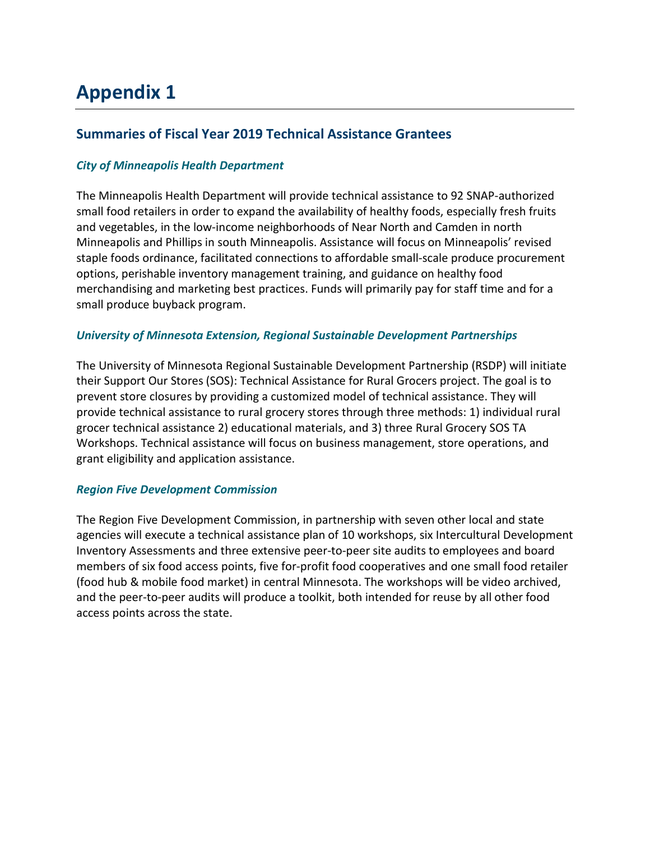# **Appendix 1**

### **Summaries of Fiscal Year 2019 Technical Assistance Grantees**

#### *City of Minneapolis Health Department*

The Minneapolis Health Department will provide technical assistance to 92 SNAP-authorized small food retailers in order to expand the availability of healthy foods, especially fresh fruits and vegetables, in the low-income neighborhoods of Near North and Camden in north Minneapolis and Phillips in south Minneapolis. Assistance will focus on Minneapolis' revised staple foods ordinance, facilitated connections to affordable small-scale produce procurement options, perishable inventory management training, and guidance on healthy food merchandising and marketing best practices. Funds will primarily pay for staff time and for a small produce buyback program.

#### *University of Minnesota Extension, Regional Sustainable Development Partnerships*

The University of Minnesota Regional Sustainable Development Partnership (RSDP) will initiate their Support Our Stores (SOS): Technical Assistance for Rural Grocers project. The goal is to prevent store closures by providing a customized model of technical assistance. They will provide technical assistance to rural grocery stores through three methods: 1) individual rural grocer technical assistance 2) educational materials, and 3) three Rural Grocery SOS TA Workshops. Technical assistance will focus on business management, store operations, and grant eligibility and application assistance.

#### *Region Five Development Commission*

<span id="page-9-0"></span>The Region Five Development Commission, in partnership with seven other local and state agencies will execute a technical assistance plan of 10 workshops, six Intercultural Development Inventory Assessments and three extensive peer-to-peer site audits to employees and board members of six food access points, five for-profit food cooperatives and one small food retailer (food hub & mobile food market) in central Minnesota. The workshops will be video archived, and the peer-to-peer audits will produce a toolkit, both intended for reuse by all other food access points across the state.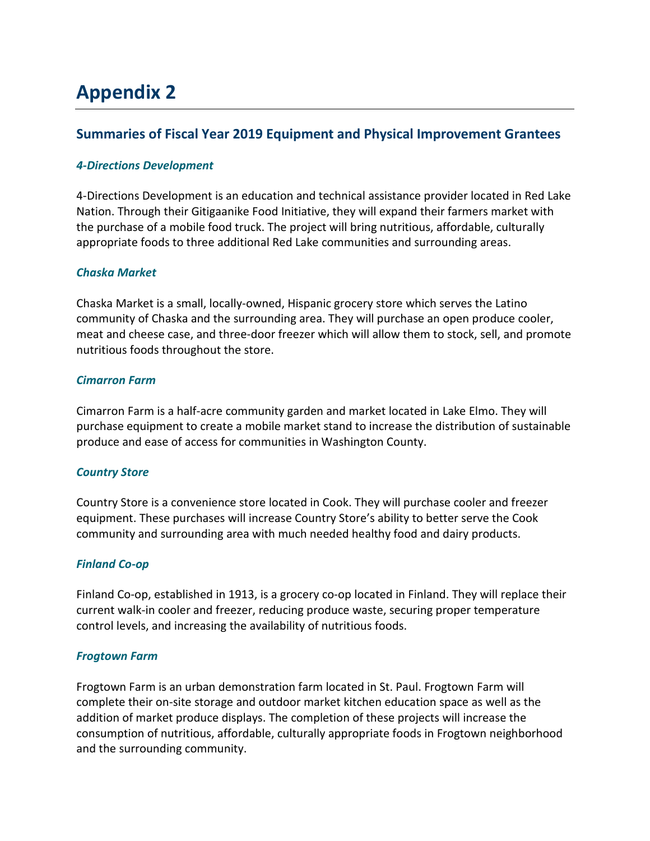# **Appendix 2**

### **Summaries of Fiscal Year 2019 Equipment and Physical Improvement Grantees**

#### *4-Directions Development*

4-Directions Development is an education and technical assistance provider located in Red Lake Nation. Through their Gitigaanike Food Initiative, they will expand their farmers market with the purchase of a mobile food truck. The project will bring nutritious, affordable, culturally appropriate foods to three additional Red Lake communities and surrounding areas.

#### *Chaska Market*

Chaska Market is a small, locally-owned, Hispanic grocery store which serves the Latino community of Chaska and the surrounding area. They will purchase an open produce cooler, meat and cheese case, and three-door freezer which will allow them to stock, sell, and promote nutritious foods throughout the store.

#### *Cimarron Farm*

Cimarron Farm is a half-acre community garden and market located in Lake Elmo. They will purchase equipment to create a mobile market stand to increase the distribution of sustainable produce and ease of access for communities in Washington County.

#### *Country Store*

Country Store is a convenience store located in Cook. They will purchase cooler and freezer equipment. These purchases will increase Country Store's ability to better serve the Cook community and surrounding area with much needed healthy food and dairy products.

#### *Finland Co-op*

Finland Co-op, established in 1913, is a grocery co-op located in Finland. They will replace their current walk-in cooler and freezer, reducing produce waste, securing proper temperature control levels, and increasing the availability of nutritious foods.

#### *Frogtown Farm*

Frogtown Farm is an urban demonstration farm located in St. Paul. Frogtown Farm will complete their on-site storage and outdoor market kitchen education space as well as the addition of market produce displays. The completion of these projects will increase the consumption of nutritious, affordable, culturally appropriate foods in Frogtown neighborhood and the surrounding community.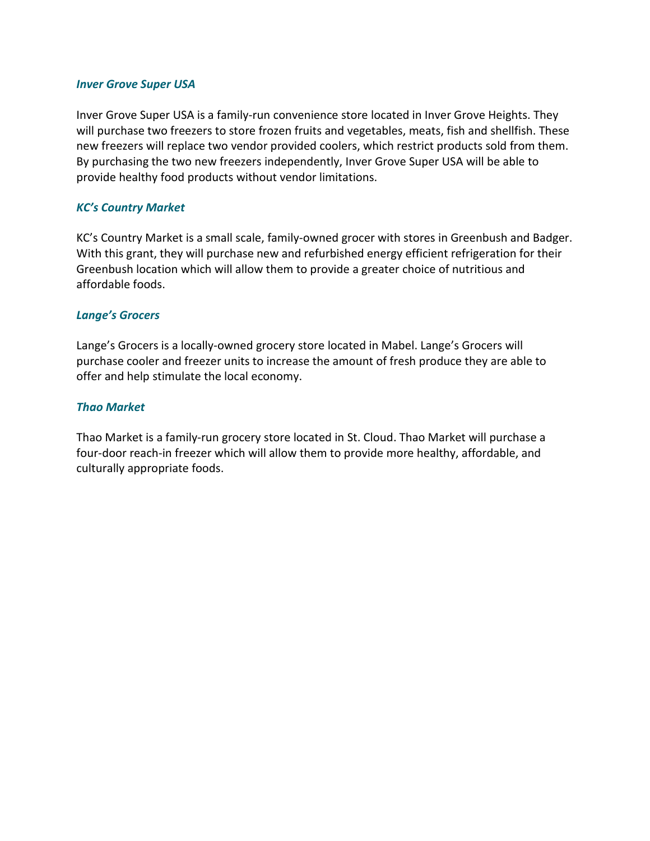#### *Inver Grove Super USA*

Inver Grove Super USA is a family-run convenience store located in Inver Grove Heights. They will purchase two freezers to store frozen fruits and vegetables, meats, fish and shellfish. These new freezers will replace two vendor provided coolers, which restrict products sold from them. By purchasing the two new freezers independently, Inver Grove Super USA will be able to provide healthy food products without vendor limitations.

#### *KC's Country Market*

KC's Country Market is a small scale, family-owned grocer with stores in Greenbush and Badger. With this grant, they will purchase new and refurbished energy efficient refrigeration for their Greenbush location which will allow them to provide a greater choice of nutritious and affordable foods.

#### *Lange's Grocers*

Lange's Grocers is a locally-owned grocery store located in Mabel. Lange's Grocers will purchase cooler and freezer units to increase the amount of fresh produce they are able to offer and help stimulate the local economy.

#### *Thao Market*

<span id="page-11-0"></span>Thao Market is a family-run grocery store located in St. Cloud. Thao Market will purchase a four-door reach-in freezer which will allow them to provide more healthy, affordable, and culturally appropriate foods.